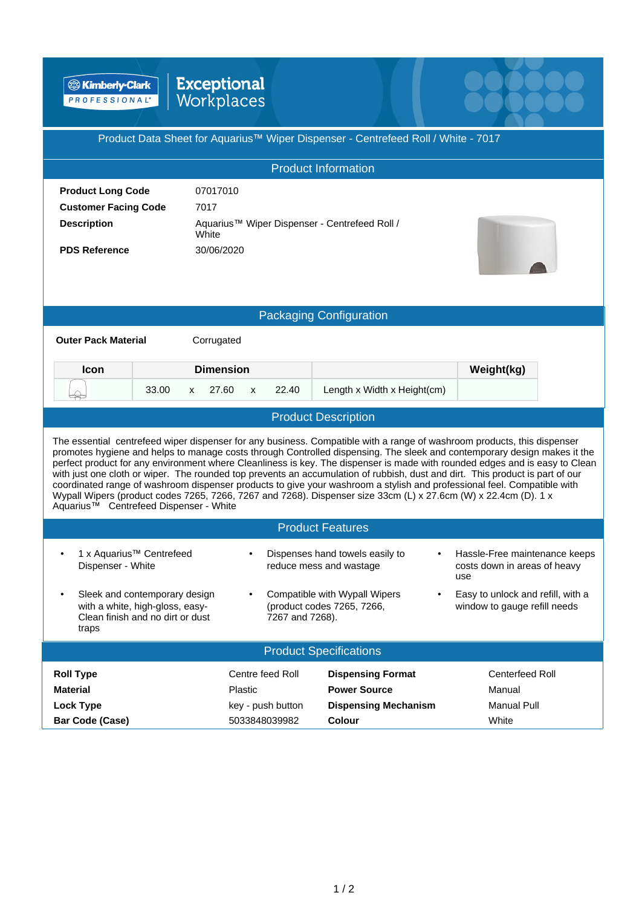**EXimberly-Clark** 

## **Exceptional**<br>Workplaces

|                                                                                                                                                                                                                                                                                                                                                                                                                                                                                                                                                                                                                                                                                                                                                                                                                         | $\blacksquare$      |                                                             |                                                                      |  |
|-------------------------------------------------------------------------------------------------------------------------------------------------------------------------------------------------------------------------------------------------------------------------------------------------------------------------------------------------------------------------------------------------------------------------------------------------------------------------------------------------------------------------------------------------------------------------------------------------------------------------------------------------------------------------------------------------------------------------------------------------------------------------------------------------------------------------|---------------------|-------------------------------------------------------------|----------------------------------------------------------------------|--|
| Product Data Sheet for Aquarius™ Wiper Dispenser - Centrefeed Roll / White - 7017                                                                                                                                                                                                                                                                                                                                                                                                                                                                                                                                                                                                                                                                                                                                       |                     |                                                             |                                                                      |  |
| <b>Product Information</b>                                                                                                                                                                                                                                                                                                                                                                                                                                                                                                                                                                                                                                                                                                                                                                                              |                     |                                                             |                                                                      |  |
| <b>Product Long Code</b>                                                                                                                                                                                                                                                                                                                                                                                                                                                                                                                                                                                                                                                                                                                                                                                                | 07017010            |                                                             |                                                                      |  |
| <b>Customer Facing Code</b>                                                                                                                                                                                                                                                                                                                                                                                                                                                                                                                                                                                                                                                                                                                                                                                             | 7017                |                                                             |                                                                      |  |
| <b>Description</b>                                                                                                                                                                                                                                                                                                                                                                                                                                                                                                                                                                                                                                                                                                                                                                                                      | White               | Aquarius™ Wiper Dispenser - Centrefeed Roll /               |                                                                      |  |
| <b>PDS Reference</b>                                                                                                                                                                                                                                                                                                                                                                                                                                                                                                                                                                                                                                                                                                                                                                                                    | 30/06/2020          |                                                             |                                                                      |  |
|                                                                                                                                                                                                                                                                                                                                                                                                                                                                                                                                                                                                                                                                                                                                                                                                                         |                     |                                                             |                                                                      |  |
|                                                                                                                                                                                                                                                                                                                                                                                                                                                                                                                                                                                                                                                                                                                                                                                                                         |                     |                                                             |                                                                      |  |
| <b>Packaging Configuration</b>                                                                                                                                                                                                                                                                                                                                                                                                                                                                                                                                                                                                                                                                                                                                                                                          |                     |                                                             |                                                                      |  |
| <b>Outer Pack Material</b>                                                                                                                                                                                                                                                                                                                                                                                                                                                                                                                                                                                                                                                                                                                                                                                              | Corrugated          |                                                             |                                                                      |  |
| <b>Icon</b>                                                                                                                                                                                                                                                                                                                                                                                                                                                                                                                                                                                                                                                                                                                                                                                                             | <b>Dimension</b>    |                                                             | Weight(kg)                                                           |  |
| 33.00<br>X                                                                                                                                                                                                                                                                                                                                                                                                                                                                                                                                                                                                                                                                                                                                                                                                              | 27.60<br>22.40<br>X | Length x Width x Height(cm)                                 |                                                                      |  |
| <b>Product Description</b>                                                                                                                                                                                                                                                                                                                                                                                                                                                                                                                                                                                                                                                                                                                                                                                              |                     |                                                             |                                                                      |  |
| The essential centrefeed wiper dispenser for any business. Compatible with a range of washroom products, this dispenser<br>promotes hygiene and helps to manage costs through Controlled dispensing. The sleek and contemporary design makes it the<br>perfect product for any environment where Cleanliness is key. The dispenser is made with rounded edges and is easy to Clean<br>with just one cloth or wiper. The rounded top prevents an accumulation of rubbish, dust and dirt. This product is part of our<br>coordinated range of washroom dispenser products to give your washroom a stylish and professional feel. Compatible with<br>Wypall Wipers (product codes 7265, 7266, 7267 and 7268). Dispenser size 33cm (L) x 27.6cm (W) x 22.4cm (D). 1 x<br>Aquarius <sup>™</sup> Centrefeed Dispenser - White |                     |                                                             |                                                                      |  |
| <b>Product Features</b>                                                                                                                                                                                                                                                                                                                                                                                                                                                                                                                                                                                                                                                                                                                                                                                                 |                     |                                                             |                                                                      |  |
| 1 x Aquarius™ Centrefeed<br>Dispenser - White                                                                                                                                                                                                                                                                                                                                                                                                                                                                                                                                                                                                                                                                                                                                                                           |                     | Dispenses hand towels easily to<br>reduce mess and wastage  | Hassle-Free maintenance keeps<br>costs down in areas of heavy<br>use |  |
| Sleek and contemporary design<br>٠<br>with a white, high-gloss, easy-<br>Clean finish and no dirt or dust<br>traps                                                                                                                                                                                                                                                                                                                                                                                                                                                                                                                                                                                                                                                                                                      | 7267 and 7268).     | Compatible with Wypall Wipers<br>(product codes 7265, 7266, | Easy to unlock and refill, with a<br>window to gauge refill needs    |  |
| <b>Product Specifications</b>                                                                                                                                                                                                                                                                                                                                                                                                                                                                                                                                                                                                                                                                                                                                                                                           |                     |                                                             |                                                                      |  |
| <b>Roll Type</b>                                                                                                                                                                                                                                                                                                                                                                                                                                                                                                                                                                                                                                                                                                                                                                                                        | Centre feed Roll    | <b>Dispensing Format</b>                                    | <b>Centerfeed Roll</b>                                               |  |
| <b>Material</b>                                                                                                                                                                                                                                                                                                                                                                                                                                                                                                                                                                                                                                                                                                                                                                                                         | Plastic             | <b>Power Source</b>                                         | Manual                                                               |  |
| <b>Lock Type</b>                                                                                                                                                                                                                                                                                                                                                                                                                                                                                                                                                                                                                                                                                                                                                                                                        | key - push button   | <b>Dispensing Mechanism</b>                                 | <b>Manual Pull</b>                                                   |  |
| <b>Bar Code (Case)</b>                                                                                                                                                                                                                                                                                                                                                                                                                                                                                                                                                                                                                                                                                                                                                                                                  | 5033848039982       | Colour                                                      | White                                                                |  |

eecee